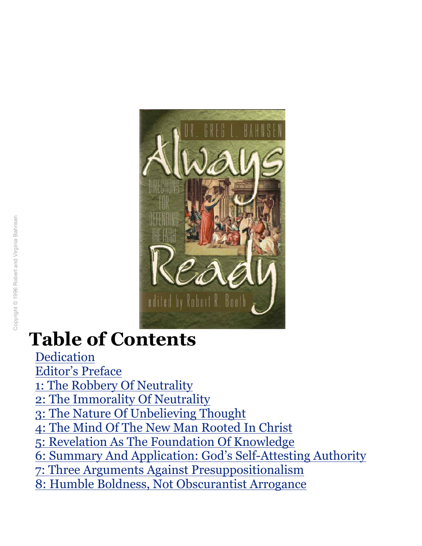

## **Table of Contents**

 Dedication Editor's Preface 1: The Robbery Of Neutrality 2: The Immorality Of Neutrality 3: The Nature Of Unbelieving Thought 4: The Mind Of The New Man Rooted In Christ 5: Revelation As The Foundation Of Knowledge 6: Summary And Application: God's Self-Attesting Authority 7: Three Arguments Against Presuppositionalism 8: Humble Boldness, Not Obscurantist Arrogance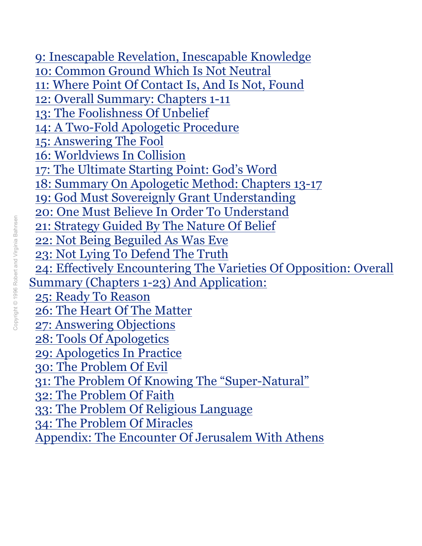9: Inescapable Revelation, Inescapable Knowledge 10: Common Ground Which Is Not Neutral 11: Where Point Of Contact Is, And Is Not, Found 12: Overall Summary: Chapters 1-11 13: The Foolishness Of Unbelief 14: A Two-Fold Apologetic Procedure 15: Answering The Fool 16: Worldviews In Collision 17: The Ultimate Starting Point: God's Word 18: Summary On Apologetic Method: Chapters 13-17 19: God Must Sovereignly Grant Understanding 20: One Must Believe In Order To Understand 21: Strategy Guided By The Nature Of Belief 22: Not Being Beguiled As Was Eve 23: Not Lying To Defend The Truth 24: Effectively Encountering The Varieties Of Opposition: Overall Summary (Chapters 1-23) And Application: 25: Ready To Reason 26: The Heart Of The Matter 27: Answering Objections 28: Tools Of Apologetics 29: Apologetics In Practice 30: The Problem Of Evil 31: The Problem Of Knowing The "Super-Natural" 32: The Problem Of Faith 33: The Problem Of Religious Language 34: The Problem Of Miracles Appendix: The Encounter Of Jerusalem With Athens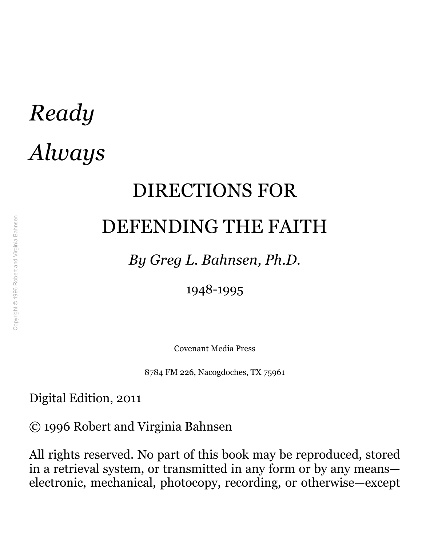# *Ready Always*

## DIRECTIONS FOR DEFENDING THE FAITH

#### *By Greg L. Bahnsen, Ph.D.*

1948-1995

Covenant Media Press

8784 FM 226, Nacogdoches, TX 75961

Digital Edition, 2011

© 1996 Robert and Virginia Bahnsen

All rights reserved. No part of this book may be reproduced, stored in a retrieval system, or transmitted in any form or by any means electronic, mechanical, photocopy, recording, or otherwise—except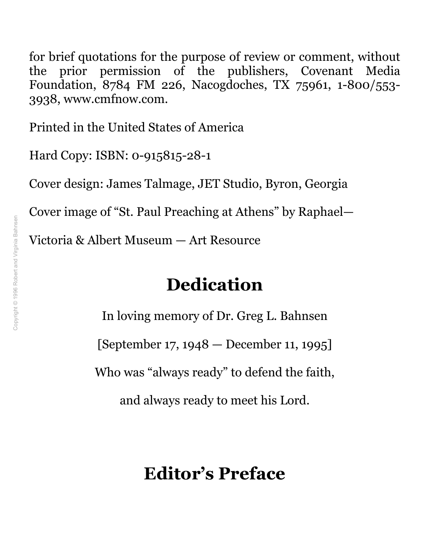for brief quotations for the purpose of review or comment, without the prior permission of the publishers, Covenant Media Foundation, 8784 FM 226, Nacogdoches, TX 75961, 1-800/553- 3938, www.cmfnow.com.

Printed in the United States of America

Hard Copy: ISBN: 0-915815-28-1

Cover design: James Talmage, JET Studio, Byron, Georgia

Cover image of "St. Paul Preaching at Athens" by Raphael—

Victoria & Albert Museum — Art Resource

### **Dedication**

In loving memory of Dr. Greg L. Bahnsen [September 17, 1948 — December 11, 1995] Who was "always ready" to defend the faith, and always ready to meet his Lord.

## **Editor's Preface**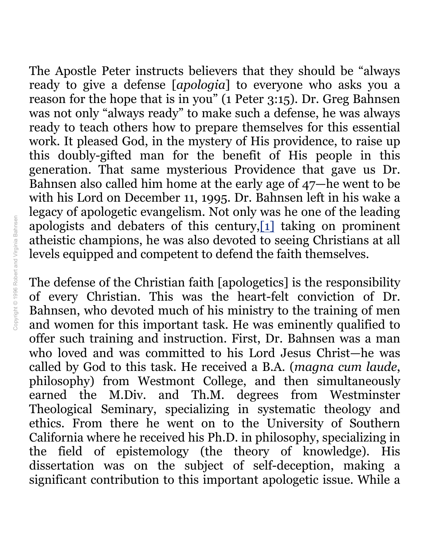The Apostle Peter instructs believers that they should be "always ready to give a defense [*apologia*] to everyone who asks you a reason for the hope that is in you" (1 Peter 3:15). Dr. Greg Bahnsen was not only "always ready" to make such a defense, he was always ready to teach others how to prepare themselves for this essential work. It pleased God, in the mystery of His providence, to raise up this doubly-gifted man for the benefit of His people in this generation. That same mysterious Providence that gave us Dr. Bahnsen also called him home at the early age of 47—he went to be with his Lord on December 11, 1995. Dr. Bahnsen left in his wake a legacy of apologetic evangelism. Not only was he one of the leading apologists and debaters of this century,[1] taking on prominent atheistic champions, he was also devoted to seeing Christians at all levels equipped and competent to defend the faith themselves.

The defense of the Christian faith [apologetics] is the responsibility of every Christian. This was the heart-felt conviction of Dr. Bahnsen, who devoted much of his ministry to the training of men and women for this important task. He was eminently qualified to offer such training and instruction. First, Dr. Bahnsen was a man who loved and was committed to his Lord Jesus Christ—he was called by God to this task. He received a B.A. (*magna cum laude*, philosophy) from Westmont College, and then simultaneously earned the M.Div. and Th.M. degrees from Westminster Theological Seminary, specializing in systematic theology and ethics. From there he went on to the University of Southern California where he received his Ph.D. in philosophy, specializing in the field of epistemology (the theory of knowledge). His dissertation was on the subject of self-deception, making a significant contribution to this important apologetic issue. While a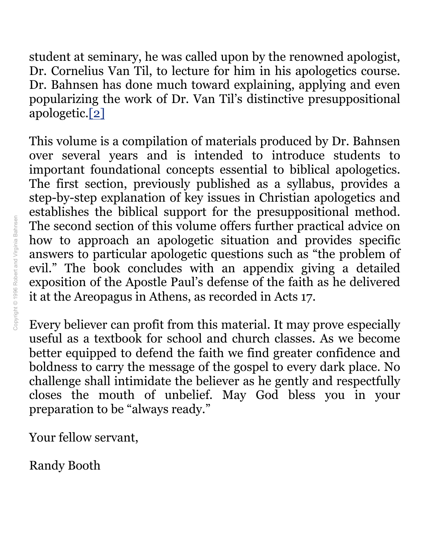student at seminary, he was called upon by the renowned apologist, Dr. Cornelius Van Til, to lecture for him in his apologetics course. Dr. Bahnsen has done much toward explaining, applying and even popularizing the work of Dr. Van Til's distinctive presuppositional apologetic.[2]

This volume is a compilation of materials produced by Dr. Bahnsen over several years and is intended to introduce students to important foundational concepts essential to biblical apologetics. The first section, previously published as a syllabus, provides a step-by-step explanation of key issues in Christian apologetics and establishes the biblical support for the presuppositional method. The second section of this volume offers further practical advice on how to approach an apologetic situation and provides specific answers to particular apologetic questions such as "the problem of evil." The book concludes with an appendix giving a detailed exposition of the Apostle Paul's defense of the faith as he delivered it at the Areopagus in Athens, as recorded in Acts 17.

Every believer can profit from this material. It may prove especially useful as a textbook for school and church classes. As we become better equipped to defend the faith we find greater confidence and boldness to carry the message of the gospel to every dark place. No challenge shall intimidate the believer as he gently and respectfully closes the mouth of unbelief. May God bless you in your preparation to be "always ready."

Your fellow servant,

Randy Booth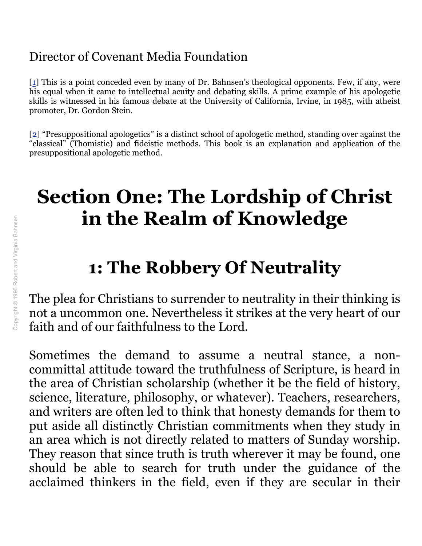#### Director of Covenant Media Foundation

[1] This is a point conceded even by many of Dr. Bahnsen's theological opponents. Few, if any, were his equal when it came to intellectual acuity and debating skills. A prime example of his apologetic skills is witnessed in his famous debate at the University of California, Irvine, in 1985, with atheist promoter, Dr. Gordon Stein.

[2] "Presuppositional apologetics" is a distinct school of apologetic method, standing over against the "classical" (Thomistic) and fideistic methods. This book is an explanation and application of the presuppositional apologetic method.

## **Section One: The Lordship of Christ in the Realm of Knowledge**

## **1: The Robbery Of Neutrality**

The plea for Christians to surrender to neutrality in their thinking is not a uncommon one. Nevertheless it strikes at the very heart of our faith and of our faithfulness to the Lord.

Sometimes the demand to assume a neutral stance, a noncommittal attitude toward the truthfulness of Scripture, is heard in the area of Christian scholarship (whether it be the field of history, science, literature, philosophy, or whatever). Teachers, researchers, and writers are often led to think that honesty demands for them to put aside all distinctly Christian commitments when they study in an area which is not directly related to matters of Sunday worship. They reason that since truth is truth wherever it may be found, one should be able to search for truth under the guidance of the acclaimed thinkers in the field, even if they are secular in their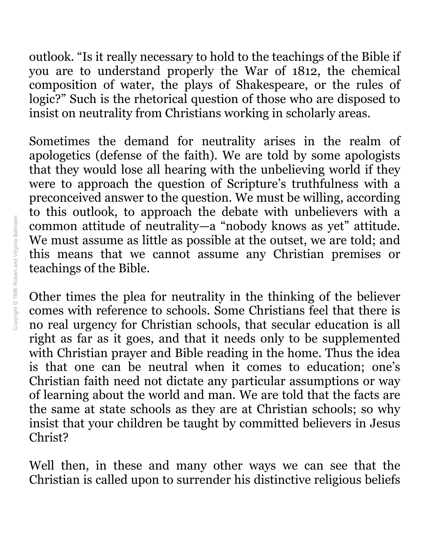outlook. "Is it really necessary to hold to the teachings of the Bible if you are to understand properly the War of 1812, the chemical composition of water, the plays of Shakespeare, or the rules of logic?" Such is the rhetorical question of those who are disposed to insist on neutrality from Christians working in scholarly areas.

Sometimes the demand for neutrality arises in the realm of apologetics (defense of the faith). We are told by some apologists that they would lose all hearing with the unbelieving world if they were to approach the question of Scripture's truthfulness with a preconceived answer to the question. We must be willing, according to this outlook, to approach the debate with unbelievers with a common attitude of neutrality—a "nobody knows as yet" attitude. We must assume as little as possible at the outset, we are told; and this means that we cannot assume any Christian premises or teachings of the Bible.

Other times the plea for neutrality in the thinking of the believer comes with reference to schools. Some Christians feel that there is no real urgency for Christian schools, that secular education is all right as far as it goes, and that it needs only to be supplemented with Christian prayer and Bible reading in the home. Thus the idea is that one can be neutral when it comes to education; one's Christian faith need not dictate any particular assumptions or way of learning about the world and man. We are told that the facts are the same at state schools as they are at Christian schools; so why insist that your children be taught by committed believers in Jesus Christ?

Well then, in these and many other ways we can see that the Christian is called upon to surrender his distinctive religious beliefs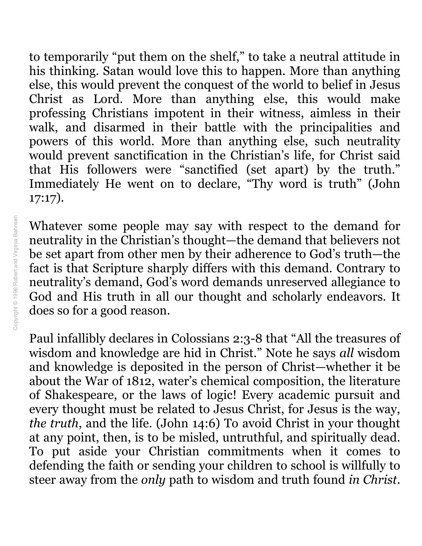to temporarily "put them on the shelf," to take a neutral attitude in his thinking. Satan would love this to happen. More than anything else, this would prevent the conquest of the world to belief in Jesus Christ as Lord. More than anything else, this would make professing Christians impotent in their witness, aimless in their walk, and disarmed in their battle with the principalities and powers of this world. More than anything else, such neutrality would prevent sanctification in the Christian's life, for Christ said that His followers were "sanctified (set apart) by the truth." Immediately He went on to declare, "Thy word is truth" (John 17:17).

Whatever some people may say with respect to the demand for neutrality in the Christian's thought—the demand that believers not be set apart from other men by their adherence to God's truth—the fact is that Scripture sharply differs with this demand. Contrary to neutrality's demand, God's word demands unreserved allegiance to God and His truth in all our thought and scholarly endeavors. It does so for a good reason.

Paul infallibly declares in Colossians 2:3-8 that "All the treasures of wisdom and knowledge are hid in Christ." Note he says *all* wisdom and knowledge is deposited in the person of Christ—whether it be about the War of 1812, water's chemical composition, the literature of Shakespeare, or the laws of logic! Every academic pursuit and every thought must be related to Jesus Christ, for Jesus is the way, *the truth*, and the life. (John 14:6) To avoid Christ in your thought at any point, then, is to be misled, untruthful, and spiritually dead. To put aside your Christian commitments when it comes to defending the faith or sending your children to school is willfully to steer away from the *only* path to wisdom and truth found *in Christ*.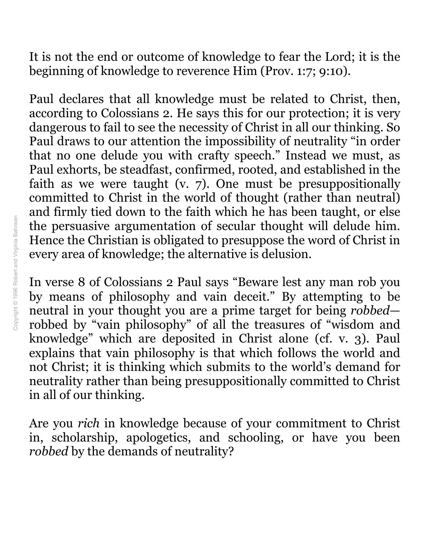It is not the end or outcome of knowledge to fear the Lord; it is the beginning of knowledge to reverence Him (Prov. 1:7; 9:10).

Paul declares that all knowledge must be related to Christ, then, according to Colossians 2. He says this for our protection; it is very dangerous to fail to see the necessity of Christ in all our thinking. So Paul draws to our attention the impossibility of neutrality "in order that no one delude you with crafty speech." Instead we must, as Paul exhorts, be steadfast, confirmed, rooted, and established in the faith as we were taught (v. 7). One must be presuppositionally committed to Christ in the world of thought (rather than neutral) and firmly tied down to the faith which he has been taught, or else the persuasive argumentation of secular thought will delude him. Hence the Christian is obligated to presuppose the word of Christ in every area of knowledge; the alternative is delusion.

In verse 8 of Colossians 2 Paul says "Beware lest any man rob you by means of philosophy and vain deceit." By attempting to be neutral in your thought you are a prime target for being *robbed* robbed by "vain philosophy" of all the treasures of "wisdom and knowledge" which are deposited in Christ alone (cf. v. 3). Paul explains that vain philosophy is that which follows the world and not Christ; it is thinking which submits to the world's demand for neutrality rather than being presuppositionally committed to Christ in all of our thinking.

Are you *rich* in knowledge because of your commitment to Christ in, scholarship, apologetics, and schooling, or have you been *robbed* by the demands of neutrality?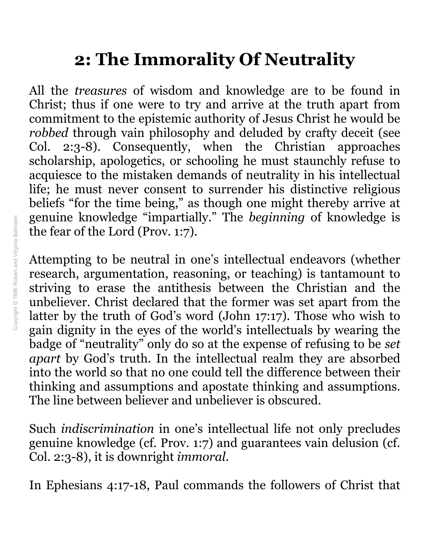All the *treasures* of wisdom and knowledge are to be found in Christ; thus if one were to try and arrive at the truth apart from commitment to the epistemic authority of Jesus Christ he would be *robbed* through vain philosophy and deluded by crafty deceit (see Col. 2:3-8). Consequently, when the Christian approaches scholarship, apologetics, or schooling he must staunchly refuse to acquiesce to the mistaken demands of neutrality in his intellectual life; he must never consent to surrender his distinctive religious beliefs "for the time being," as though one might thereby arrive at genuine knowledge "impartially." The *beginning* of knowledge is the fear of the Lord (Prov. 1:7).

Attempting to be neutral in one's intellectual endeavors (whether research, argumentation, reasoning, or teaching) is tantamount to striving to erase the antithesis between the Christian and the unbeliever. Christ declared that the former was set apart from the latter by the truth of God's word (John 17:17). Those who wish to gain dignity in the eyes of the world's intellectuals by wearing the badge of "neutrality" only do so at the expense of refusing to be *set apart* by God's truth. In the intellectual realm they are absorbed into the world so that no one could tell the difference between their thinking and assumptions and apostate thinking and assumptions. The line between believer and unbeliever is obscured.

Such *indiscrimination* in one's intellectual life not only precludes genuine knowledge (cf. Prov. 1:7) and guarantees vain delusion (cf. Col. 2:3-8), it is downright *immoral*.

In Ephesians 4:17-18, Paul commands the followers of Christ that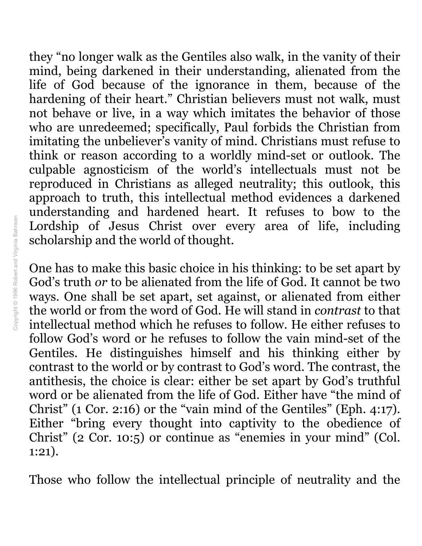they "no longer walk as the Gentiles also walk, in the vanity of their mind, being darkened in their understanding, alienated from the life of God because of the ignorance in them, because of the hardening of their heart." Christian believers must not walk, must not behave or live, in a way which imitates the behavior of those who are unredeemed; specifically, Paul forbids the Christian from imitating the unbeliever's vanity of mind. Christians must refuse to think or reason according to a worldly mind-set or outlook. The culpable agnosticism of the world's intellectuals must not be reproduced in Christians as alleged neutrality; this outlook, this approach to truth, this intellectual method evidences a darkened understanding and hardened heart. It refuses to bow to the Lordship of Jesus Christ over every area of life, including scholarship and the world of thought.

One has to make this basic choice in his thinking: to be set apart by God's truth *or* to be alienated from the life of God. It cannot be two ways. One shall be set apart, set against, or alienated from either the world or from the word of God. He will stand in *contrast* to that intellectual method which he refuses to follow. He either refuses to follow God's word or he refuses to follow the vain mind-set of the Gentiles. He distinguishes himself and his thinking either by contrast to the world or by contrast to God's word. The contrast, the antithesis, the choice is clear: either be set apart by God's truthful word or be alienated from the life of God. Either have "the mind of Christ" (1 Cor. 2:16) or the "vain mind of the Gentiles" (Eph. 4:17). Either "bring every thought into captivity to the obedience of Christ" (2 Cor. 10:5) or continue as "enemies in your mind" (Col. 1:21).

Those who follow the intellectual principle of neutrality and the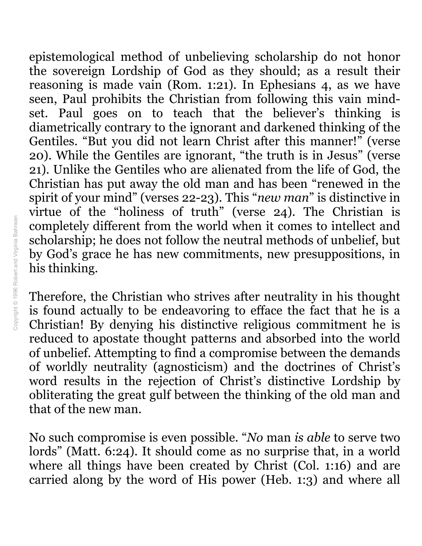epistemological method of unbelieving scholarship do not honor the sovereign Lordship of God as they should; as a result their reasoning is made vain (Rom. 1:21). In Ephesians 4, as we have seen, Paul prohibits the Christian from following this vain mindset. Paul goes on to teach that the believer's thinking is diametrically contrary to the ignorant and darkened thinking of the Gentiles. "But you did not learn Christ after this manner!" (verse 20). While the Gentiles are ignorant, "the truth is in Jesus" (verse 21). Unlike the Gentiles who are alienated from the life of God, the Christian has put away the old man and has been "renewed in the spirit of your mind" (verses 22-23). This "*new man*" is distinctive in virtue of the "holiness of truth" (verse 24). The Christian is completely different from the world when it comes to intellect and scholarship; he does not follow the neutral methods of unbelief, but by God's grace he has new commitments, new presuppositions, in his thinking.

Therefore, the Christian who strives after neutrality in his thought is found actually to be endeavoring to efface the fact that he is a Christian! By denying his distinctive religious commitment he is reduced to apostate thought patterns and absorbed into the world of unbelief. Attempting to find a compromise between the demands of worldly neutrality (agnosticism) and the doctrines of Christ's word results in the rejection of Christ's distinctive Lordship by obliterating the great gulf between the thinking of the old man and that of the new man.

No such compromise is even possible. "*No* man *is able* to serve two lords" (Matt. 6:24). It should come as no surprise that, in a world where all things have been created by Christ (Col. 1:16) and are carried along by the word of His power (Heb. 1:3) and where all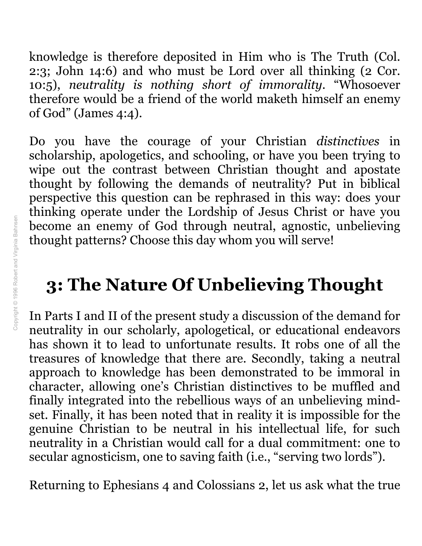knowledge is therefore deposited in Him who is The Truth (Col. 2:3; John 14:6) and who must be Lord over all thinking (2 Cor. 10:5), *neutrality is nothing short of immorality*. "Whosoever therefore would be a friend of the world maketh himself an enemy of God" (James 4:4).

Do you have the courage of your Christian *distinctives* in scholarship, apologetics, and schooling, or have you been trying to wipe out the contrast between Christian thought and apostate thought by following the demands of neutrality? Put in biblical perspective this question can be rephrased in this way: does your thinking operate under the Lordship of Jesus Christ or have you become an enemy of God through neutral, agnostic, unbelieving thought patterns? Choose this day whom you will serve!

## **3: The Nature Of Unbelieving Thought**

In Parts I and II of the present study a discussion of the demand for neutrality in our scholarly, apologetical, or educational endeavors has shown it to lead to unfortunate results. It robs one of all the treasures of knowledge that there are. Secondly, taking a neutral approach to knowledge has been demonstrated to be immoral in character, allowing one's Christian distinctives to be muffled and finally integrated into the rebellious ways of an unbelieving mindset. Finally, it has been noted that in reality it is impossible for the genuine Christian to be neutral in his intellectual life, for such neutrality in a Christian would call for a dual commitment: one to secular agnosticism, one to saving faith (i.e., "serving two lords").

Returning to Ephesians 4 and Colossians 2, let us ask what the true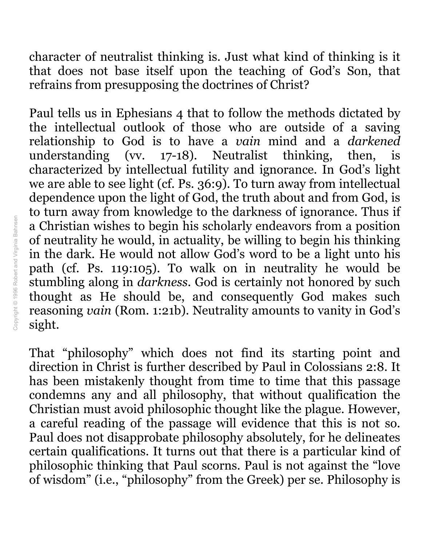character of neutralist thinking is. Just what kind of thinking is it that does not base itself upon the teaching of God's Son, that refrains from presupposing the doctrines of Christ?

Paul tells us in Ephesians 4 that to follow the methods dictated by the intellectual outlook of those who are outside of a saving relationship to God is to have a *vain* mind and a *darkened* understanding (vv. 17-18). Neutralist thinking, then, is characterized by intellectual futility and ignorance. In God's light we are able to see light (cf. Ps. 36:9). To turn away from intellectual dependence upon the light of God, the truth about and from God, is to turn away from knowledge to the darkness of ignorance. Thus if a Christian wishes to begin his scholarly endeavors from a position of neutrality he would, in actuality, be willing to begin his thinking in the dark. He would not allow God's word to be a light unto his path (cf. Ps. 119:105). To walk on in neutrality he would be stumbling along in *darkness*. God is certainly not honored by such thought as He should be, and consequently God makes such reasoning *vain* (Rom. 1:21b). Neutrality amounts to vanity in God's sight.

That "philosophy" which does not find its starting point and direction in Christ is further described by Paul in Colossians 2:8. It has been mistakenly thought from time to time that this passage condemns any and all philosophy, that without qualification the Christian must avoid philosophic thought like the plague. However, a careful reading of the passage will evidence that this is not so. Paul does not disapprobate philosophy absolutely, for he delineates certain qualifications. It turns out that there is a particular kind of philosophic thinking that Paul scorns. Paul is not against the "love of wisdom" (i.e., "philosophy" from the Greek) per se. Philosophy is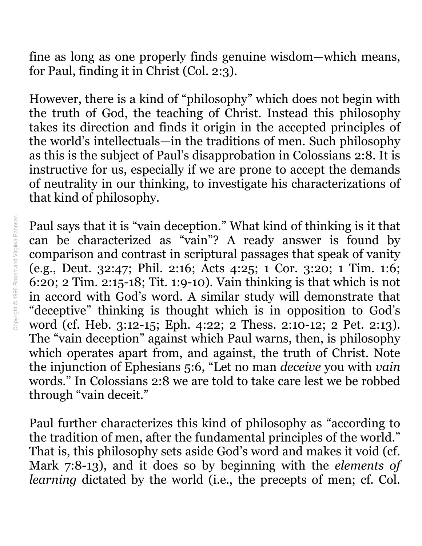fine as long as one properly finds genuine wisdom—which means, for Paul, finding it in Christ (Col. 2:3).

However, there is a kind of "philosophy" which does not begin with the truth of God, the teaching of Christ. Instead this philosophy takes its direction and finds it origin in the accepted principles of the world's intellectuals—in the traditions of men. Such philosophy as this is the subject of Paul's disapprobation in Colossians 2:8. It is instructive for us, especially if we are prone to accept the demands of neutrality in our thinking, to investigate his characterizations of that kind of philosophy.

Paul says that it is "vain deception." What kind of thinking is it that can be characterized as "vain"? A ready answer is found by comparison and contrast in scriptural passages that speak of vanity (e.g., Deut. 32:47; Phil. 2:16; Acts 4:25; 1 Cor. 3:20; 1 Tim. 1:6; 6:20; 2 Tim. 2:15-18; Tit. 1:9-10). Vain thinking is that which is not in accord with God's word. A similar study will demonstrate that "deceptive" thinking is thought which is in opposition to God's word (cf. Heb. 3:12-15; Eph. 4:22; 2 Thess. 2:10-12; 2 Pet. 2:13). The "vain deception" against which Paul warns, then, is philosophy which operates apart from, and against, the truth of Christ. Note the injunction of Ephesians 5:6, "Let no man *deceive* you with *vain* words." In Colossians 2:8 we are told to take care lest we be robbed through "vain deceit."

Paul further characterizes this kind of philosophy as "according to the tradition of men, after the fundamental principles of the world." That is, this philosophy sets aside God's word and makes it void (cf. Mark 7:8-13), and it does so by beginning with the *elements of learning* dictated by the world (i.e., the precepts of men; cf. Col.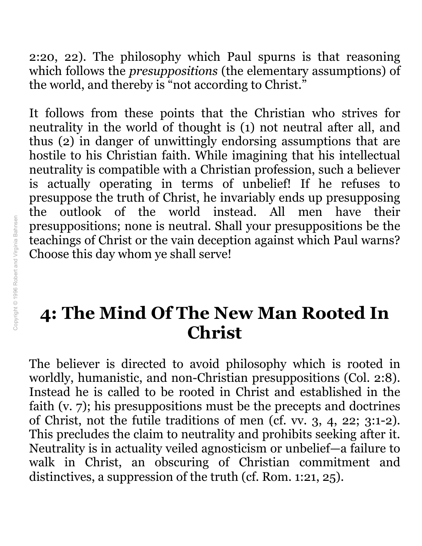2:20, 22). The philosophy which Paul spurns is that reasoning which follows the *presuppositions* (the elementary assumptions) of the world, and thereby is "not according to Christ."

It follows from these points that the Christian who strives for neutrality in the world of thought is (1) not neutral after all, and thus (2) in danger of unwittingly endorsing assumptions that are hostile to his Christian faith. While imagining that his intellectual neutrality is compatible with a Christian profession, such a believer is actually operating in terms of unbelief! If he refuses to presuppose the truth of Christ, he invariably ends up presupposing the outlook of the world instead. All men have their presuppositions; none is neutral. Shall your presuppositions be the teachings of Christ or the vain deception against which Paul warns? Choose this day whom ye shall serve!

## **4: The Mind Of The New Man Rooted In Christ**

The believer is directed to avoid philosophy which is rooted in worldly, humanistic, and non-Christian presuppositions (Col. 2:8). Instead he is called to be rooted in Christ and established in the faith (v. 7); his presuppositions must be the precepts and doctrines of Christ, not the futile traditions of men (cf. vv. 3, 4, 22; 3:1-2). This precludes the claim to neutrality and prohibits seeking after it. Neutrality is in actuality veiled agnosticism or unbelief—a failure to walk in Christ, an obscuring of Christian commitment and distinctives, a suppression of the truth (cf. Rom. 1:21, 25).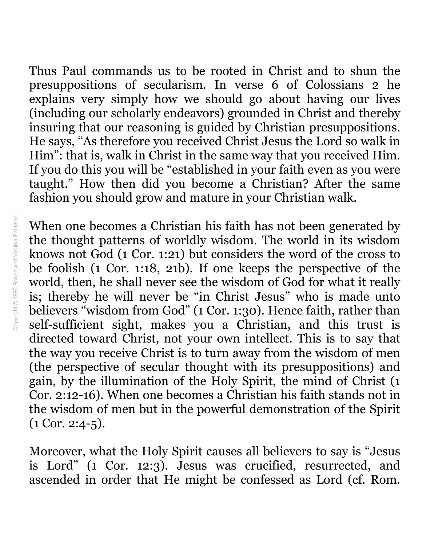Thus Paul commands us to be rooted in Christ and to shun the presuppositions of secularism. In verse 6 of Colossians 2 he explains very simply how we should go about having our lives (including our scholarly endeavors) grounded in Christ and thereby insuring that our reasoning is guided by Christian presuppositions. He says, "As therefore you received Christ Jesus the Lord so walk in Him": that is, walk in Christ in the same way that you received Him. If you do this you will be "established in your faith even as you were taught." How then did you become a Christian? After the same fashion you should grow and mature in your Christian walk.

When one becomes a Christian his faith has not been generated by the thought patterns of worldly wisdom. The world in its wisdom knows not God (1 Cor. 1:21) but considers the word of the cross to be foolish (1 Cor. 1:18, 21b). If one keeps the perspective of the world, then, he shall never see the wisdom of God for what it really is; thereby he will never be "in Christ Jesus" who is made unto believers "wisdom from God" (1 Cor. 1:30). Hence faith, rather than self-sufficient sight, makes you a Christian, and this trust is directed toward Christ, not your own intellect. This is to say that the way you receive Christ is to turn away from the wisdom of men (the perspective of secular thought with its presuppositions) and gain, by the illumination of the Holy Spirit, the mind of Christ (1 Cor. 2:12-16). When one becomes a Christian his faith stands not in the wisdom of men but in the powerful demonstration of the Spirit  $(1$  Cor. 2:4-5).

Moreover, what the Holy Spirit causes all believers to say is "Jesus is Lord" (1 Cor. 12:3). Jesus was crucified, resurrected, and ascended in order that He might be confessed as Lord (cf. Rom.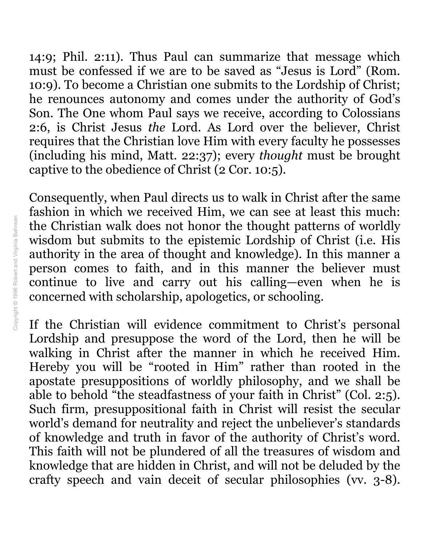14:9; Phil. 2:11). Thus Paul can summarize that message which must be confessed if we are to be saved as "Jesus is Lord" (Rom. 10:9). To become a Christian one submits to the Lordship of Christ; he renounces autonomy and comes under the authority of God's Son. The One whom Paul says we receive, according to Colossians 2:6, is Christ Jesus *the* Lord. As Lord over the believer, Christ requires that the Christian love Him with every faculty he possesses (including his mind, Matt. 22:37); every *thought* must be brought captive to the obedience of Christ (2 Cor. 10:5).

Consequently, when Paul directs us to walk in Christ after the same fashion in which we received Him, we can see at least this much: the Christian walk does not honor the thought patterns of worldly wisdom but submits to the epistemic Lordship of Christ (i.e. His authority in the area of thought and knowledge). In this manner a person comes to faith, and in this manner the believer must continue to live and carry out his calling—even when he is concerned with scholarship, apologetics, or schooling.

If the Christian will evidence commitment to Christ's personal Lordship and presuppose the word of the Lord, then he will be walking in Christ after the manner in which he received Him. Hereby you will be "rooted in Him" rather than rooted in the apostate presuppositions of worldly philosophy, and we shall be able to behold  $\tilde{f}$  the steadfastness of your faith in Christ" (Col. 2:5). Such firm, presuppositional faith in Christ will resist the secular world's demand for neutrality and reject the unbeliever's standards of knowledge and truth in favor of the authority of Christ's word. This faith will not be plundered of all the treasures of wisdom and knowledge that are hidden in Christ, and will not be deluded by the crafty speech and vain deceit of secular philosophies (vv. 3-8).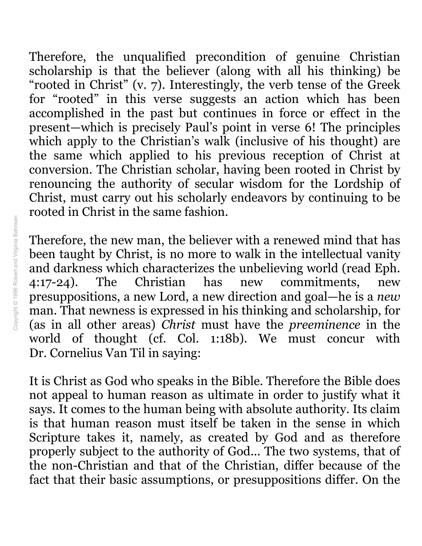Therefore, the unqualified precondition of genuine Christian scholarship is that the believer (along with all his thinking) be "rooted in Christ" (v. 7). Interestingly, the verb tense of the Greek for "rooted" in this verse suggests an action which has been accomplished in the past but continues in force or effect in the present—which is precisely Paul's point in verse 6! The principles which apply to the Christian's walk (inclusive of his thought) are the same which applied to his previous reception of Christ at conversion. The Christian scholar, having been rooted in Christ by renouncing the authority of secular wisdom for the Lordship of Christ, must carry out his scholarly endeavors by continuing to be rooted in Christ in the same fashion.

Therefore, the new man, the believer with a renewed mind that has been taught by Christ, is no more to walk in the intellectual vanity and darkness which characterizes the unbelieving world (read Eph. 4:17-24). The Christian has new commitments, new presuppositions, a new Lord, a new direction and goal—he is a *new* man. That newness is expressed in his thinking and scholarship, for (as in all other areas) *Christ* must have the *preeminence* in the world of thought (cf. Col. 1:18b). We must concur with Dr. Cornelius Van Til in saying:

It is Christ as God who speaks in the Bible. Therefore the Bible does not appeal to human reason as ultimate in order to justify what it says. It comes to the human being with absolute authority. Its claim is that human reason must itself be taken in the sense in which Scripture takes it, namely, as created by God and as therefore properly subject to the authority of God... The two systems, that of the non-Christian and that of the Christian, differ because of the fact that their basic assumptions, or presuppositions differ. On the